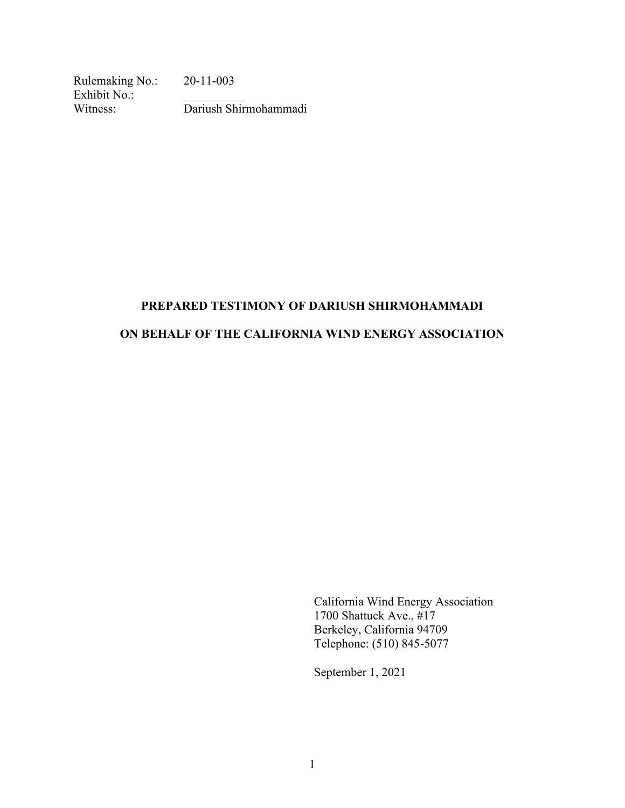Rulemaking No.: 20-11-003 Exhibit No.: Witness: Dariush Shirmohammadi

# **PREPARED TESTIMONY OF DARIUSH SHIRMOHAMMADI ON BEHALF OF THE CALIFORNIA WIND ENERGY ASSOCIATION**

California Wind Energy Association 1700 Shattuck Ave., #17 Berkeley, California 94709 Telephone: (510) 845-5077

September 1, 2021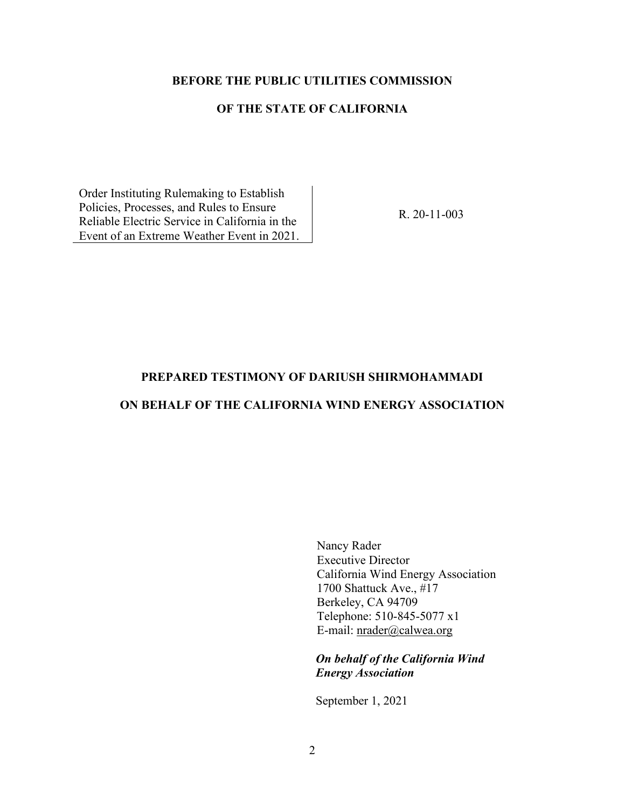#### **BEFORE THE PUBLIC UTILITIES COMMISSION**

### **OF THE STATE OF CALIFORNIA**

Order Instituting Rulemaking to Establish Policies, Processes, and Rules to Ensure Reliable Electric Service in California in the Event of an Extreme Weather Event in 2021.

R. 20-11-003

#### **PREPARED TESTIMONY OF DARIUSH SHIRMOHAMMADI**

## **ON BEHALF OF THE CALIFORNIA WIND ENERGY ASSOCIATION**

Nancy Rader Executive Director California Wind Energy Association 1700 Shattuck Ave., #17 Berkeley, CA 94709 Telephone: 510-845-5077 x1 E-mail: [nrader@calwea.org](mailto:nrader@calwea.org)

*On behalf of the California Wind Energy Association*

September 1, 2021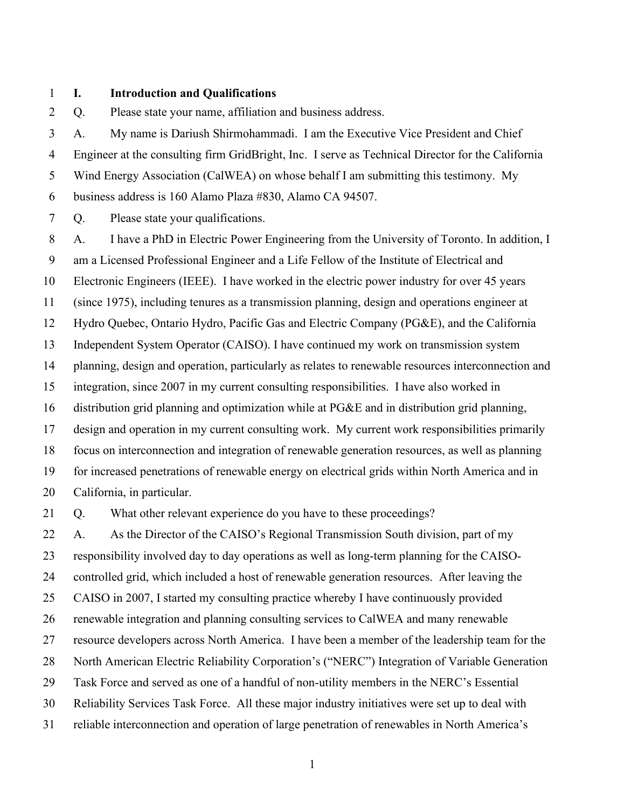#### **I. Introduction and Qualifications**

Q. Please state your name, affiliation and business address.

 A. My name is Dariush Shirmohammadi. I am the Executive Vice President and Chief Engineer at the consulting firm GridBright, Inc. I serve as Technical Director for the California Wind Energy Association (CalWEA) on whose behalf I am submitting this testimony. My business address is 160 Alamo Plaza #830, Alamo CA 94507.

Q. Please state your qualifications.

 A. I have a PhD in Electric Power Engineering from the University of Toronto. In addition, I am a Licensed Professional Engineer and a Life Fellow of the Institute of Electrical and Electronic Engineers (IEEE). I have worked in the electric power industry for over 45 years (since 1975), including tenures as a transmission planning, design and operations engineer at Hydro Quebec, Ontario Hydro, Pacific Gas and Electric Company (PG&E), and the California Independent System Operator (CAISO). I have continued my work on transmission system planning, design and operation, particularly as relates to renewable resources interconnection and integration, since 2007 in my current consulting responsibilities. I have also worked in distribution grid planning and optimization while at PG&E and in distribution grid planning, design and operation in my current consulting work. My current work responsibilities primarily focus on interconnection and integration of renewable generation resources, as well as planning for increased penetrations of renewable energy on electrical grids within North America and in California, in particular.

Q. What other relevant experience do you have to these proceedings?

 A. As the Director of the CAISO's Regional Transmission South division, part of my responsibility involved day to day operations as well as long-term planning for the CAISO- controlled grid, which included a host of renewable generation resources. After leaving the CAISO in 2007, I started my consulting practice whereby I have continuously provided renewable integration and planning consulting services to CalWEA and many renewable resource developers across North America. I have been a member of the leadership team for the North American Electric Reliability Corporation's ("NERC") Integration of Variable Generation Task Force and served as one of a handful of non-utility members in the NERC's Essential Reliability Services Task Force. All these major industry initiatives were set up to deal with reliable interconnection and operation of large penetration of renewables in North America's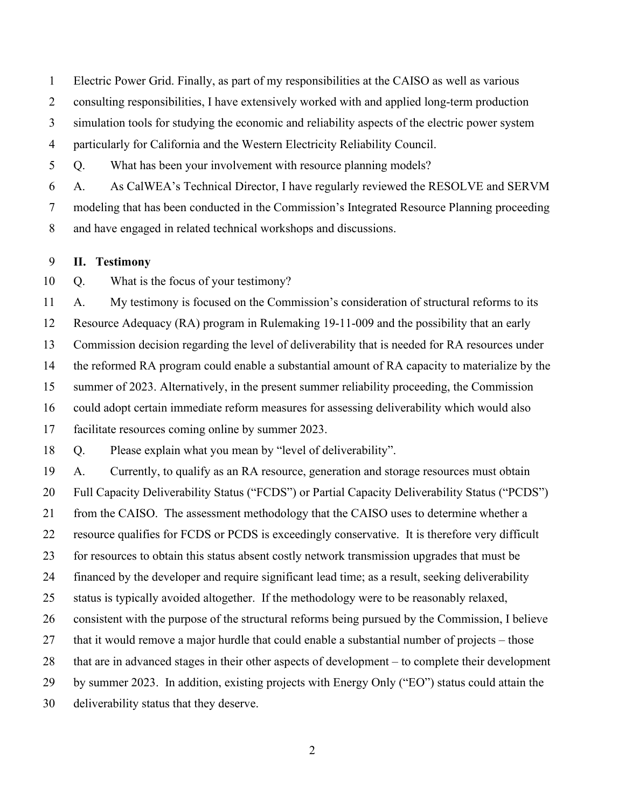Electric Power Grid. Finally, as part of my responsibilities at the CAISO as well as various

consulting responsibilities, I have extensively worked with and applied long-term production

simulation tools for studying the economic and reliability aspects of the electric power system

particularly for California and the Western Electricity Reliability Council.

Q. What has been your involvement with resource planning models?

A. As CalWEA's Technical Director, I have regularly reviewed the RESOLVE and SERVM

 modeling that has been conducted in the Commission's Integrated Resource Planning proceeding and have engaged in related technical workshops and discussions.

#### **II. Testimony**

Q. What is the focus of your testimony?

 A. My testimony is focused on the Commission's consideration of structural reforms to its Resource Adequacy (RA) program in Rulemaking 19-11-009 and the possibility that an early Commission decision regarding the level of deliverability that is needed for RA resources under the reformed RA program could enable a substantial amount of RA capacity to materialize by the summer of 2023. Alternatively, in the present summer reliability proceeding, the Commission could adopt certain immediate reform measures for assessing deliverability which would also facilitate resources coming online by summer 2023.

Q. Please explain what you mean by "level of deliverability".

 A. Currently, to qualify as an RA resource, generation and storage resources must obtain Full Capacity Deliverability Status ("FCDS") or Partial Capacity Deliverability Status ("PCDS") from the CAISO. The assessment methodology that the CAISO uses to determine whether a resource qualifies for FCDS or PCDS is exceedingly conservative. It is therefore very difficult for resources to obtain this status absent costly network transmission upgrades that must be financed by the developer and require significant lead time; as a result, seeking deliverability status is typically avoided altogether. If the methodology were to be reasonably relaxed, consistent with the purpose of the structural reforms being pursued by the Commission, I believe 27 that it would remove a major hurdle that could enable a substantial number of projects – those that are in advanced stages in their other aspects of development – to complete their development by summer 2023. In addition, existing projects with Energy Only ("EO") status could attain the deliverability status that they deserve.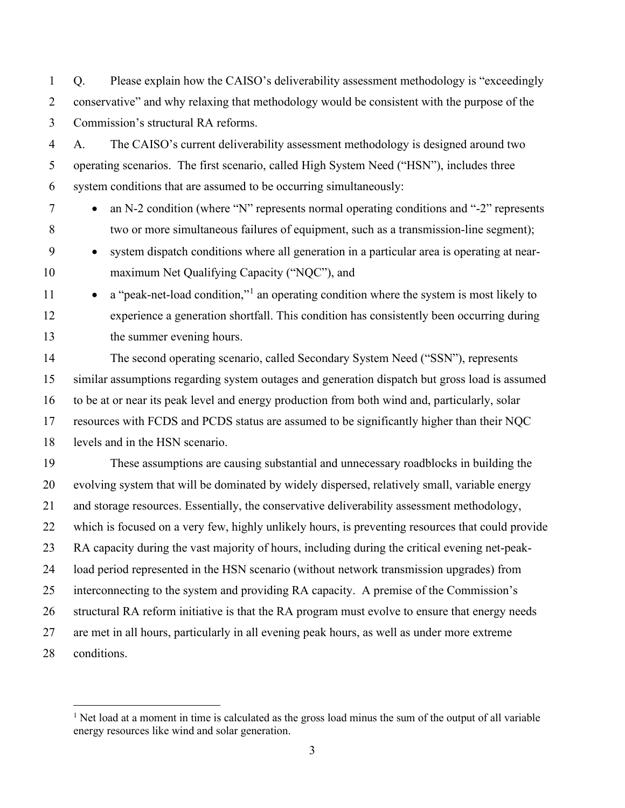Q. Please explain how the CAISO's deliverability assessment methodology is "exceedingly conservative" and why relaxing that methodology would be consistent with the purpose of the Commission's structural RA reforms.

 A. The CAISO's current deliverability assessment methodology is designed around two operating scenarios. The first scenario, called High System Need ("HSN"), includes three system conditions that are assumed to be occurring simultaneously:

- an N-2 condition (where "N" represents normal operating conditions and "-2" represents two or more simultaneous failures of equipment, such as a transmission-line segment);
- system dispatch conditions where all generation in a particular area is operating at near-10 maximum Net Qualifying Capacity ("NQC"), and
- $\bullet$  a "peak-net-load condition," an operating condition where the system is most likely to experience a generation shortfall. This condition has consistently been occurring during the summer evening hours.

 The second operating scenario, called Secondary System Need ("SSN"), represents similar assumptions regarding system outages and generation dispatch but gross load is assumed to be at or near its peak level and energy production from both wind and, particularly, solar resources with FCDS and PCDS status are assumed to be significantly higher than their NQC levels and in the HSN scenario.

 These assumptions are causing substantial and unnecessary roadblocks in building the evolving system that will be dominated by widely dispersed, relatively small, variable energy and storage resources. Essentially, the conservative deliverability assessment methodology, which is focused on a very few, highly unlikely hours, is preventing resources that could provide RA capacity during the vast majority of hours, including during the critical evening net-peak- load period represented in the HSN scenario (without network transmission upgrades) from interconnecting to the system and providing RA capacity. A premise of the Commission's structural RA reform initiative is that the RA program must evolve to ensure that energy needs are met in all hours, particularly in all evening peak hours, as well as under more extreme conditions.

<span id="page-4-0"></span><sup>&</sup>lt;sup>1</sup> Net load at a moment in time is calculated as the gross load minus the sum of the output of all variable energy resources like wind and solar generation.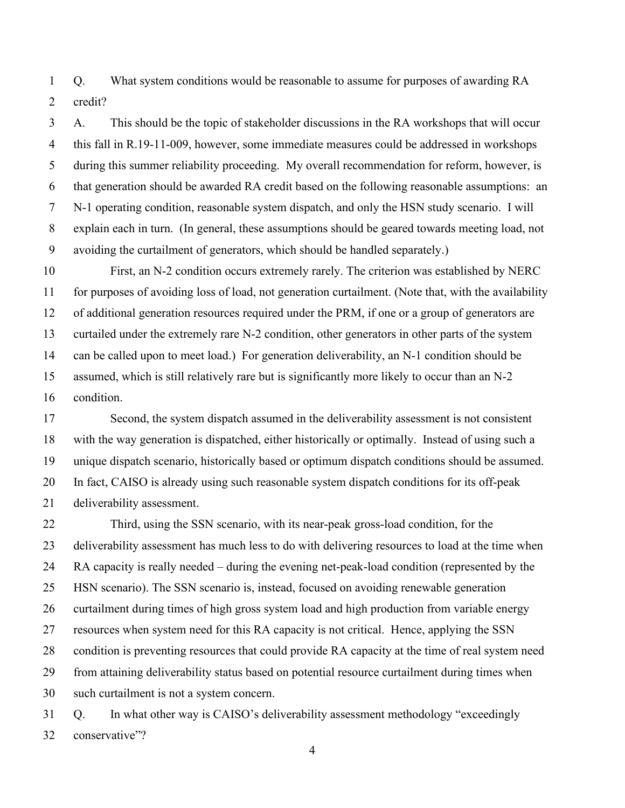Q. What system conditions would be reasonable to assume for purposes of awarding RA credit?

 A. This should be the topic of stakeholder discussions in the RA workshops that will occur this fall in R.19-11-009, however, some immediate measures could be addressed in workshops during this summer reliability proceeding. My overall recommendation for reform, however, is that generation should be awarded RA credit based on the following reasonable assumptions: an N-1 operating condition, reasonable system dispatch, and only the HSN study scenario. I will explain each in turn. (In general, these assumptions should be geared towards meeting load, not avoiding the curtailment of generators, which should be handled separately.)

 First, an N-2 condition occurs extremely rarely. The criterion was established by NERC for purposes of avoiding loss of load, not generation curtailment. (Note that, with the availability of additional generation resources required under the PRM, if one or a group of generators are curtailed under the extremely rare N-2 condition, other generators in other parts of the system can be called upon to meet load.) For generation deliverability, an N-1 condition should be assumed, which is still relatively rare but is significantly more likely to occur than an N-2 condition.

 Second, the system dispatch assumed in the deliverability assessment is not consistent with the way generation is dispatched, either historically or optimally. Instead of using such a unique dispatch scenario, historically based or optimum dispatch conditions should be assumed. In fact, CAISO is already using such reasonable system dispatch conditions for its off-peak deliverability assessment.

 Third, using the SSN scenario, with its near-peak gross-load condition, for the deliverability assessment has much less to do with delivering resources to load at the time when RA capacity is really needed – during the evening net-peak-load condition (represented by the HSN scenario). The SSN scenario is, instead, focused on avoiding renewable generation curtailment during times of high gross system load and high production from variable energy resources when system need for this RA capacity is not critical. Hence, applying the SSN condition is preventing resources that could provide RA capacity at the time of real system need from attaining deliverability status based on potential resource curtailment during times when such curtailment is not a system concern.

 Q. In what other way is CAISO's deliverability assessment methodology "exceedingly conservative"?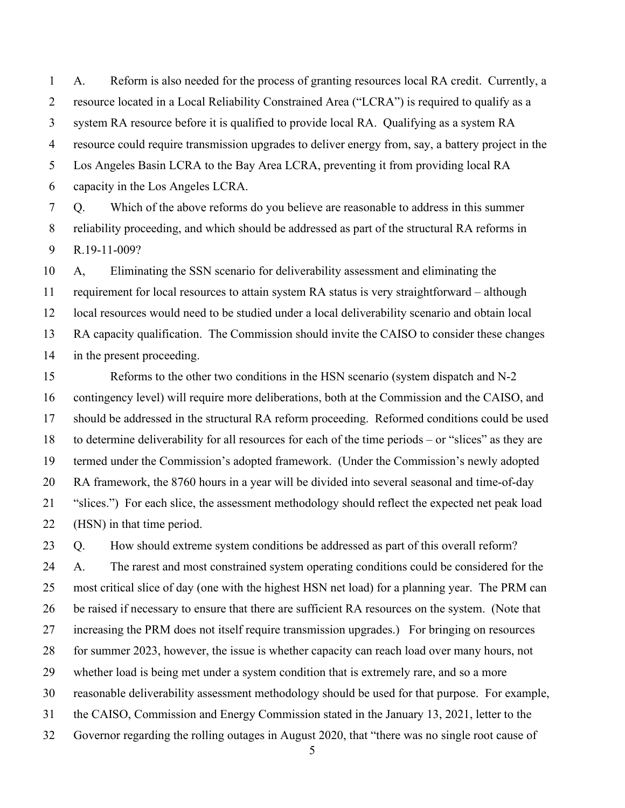A. Reform is also needed for the process of granting resources local RA credit. Currently, a resource located in a Local Reliability Constrained Area ("LCRA") is required to qualify as a system RA resource before it is qualified to provide local RA. Qualifying as a system RA resource could require transmission upgrades to deliver energy from, say, a battery project in the Los Angeles Basin LCRA to the Bay Area LCRA, preventing it from providing local RA capacity in the Los Angeles LCRA.

 Q. Which of the above reforms do you believe are reasonable to address in this summer reliability proceeding, and which should be addressed as part of the structural RA reforms in R.19-11-009?

 A, Eliminating the SSN scenario for deliverability assessment and eliminating the requirement for local resources to attain system RA status is very straightforward – although local resources would need to be studied under a local deliverability scenario and obtain local RA capacity qualification. The Commission should invite the CAISO to consider these changes in the present proceeding.

 Reforms to the other two conditions in the HSN scenario (system dispatch and N-2 contingency level) will require more deliberations, both at the Commission and the CAISO, and should be addressed in the structural RA reform proceeding. Reformed conditions could be used to determine deliverability for all resources for each of the time periods – or "slices" as they are termed under the Commission's adopted framework. (Under the Commission's newly adopted RA framework, the 8760 hours in a year will be divided into several seasonal and time-of-day "slices.") For each slice, the assessment methodology should reflect the expected net peak load (HSN) in that time period.

 Q. How should extreme system conditions be addressed as part of this overall reform? A. The rarest and most constrained system operating conditions could be considered for the most critical slice of day (one with the highest HSN net load) for a planning year. The PRM can be raised if necessary to ensure that there are sufficient RA resources on the system. (Note that increasing the PRM does not itself require transmission upgrades.) For bringing on resources for summer 2023, however, the issue is whether capacity can reach load over many hours, not whether load is being met under a system condition that is extremely rare, and so a more reasonable deliverability assessment methodology should be used for that purpose. For example, the CAISO, Commission and Energy Commission stated in the January 13, 2021, letter to the Governor regarding the rolling outages in August 2020, that "there was no single root cause of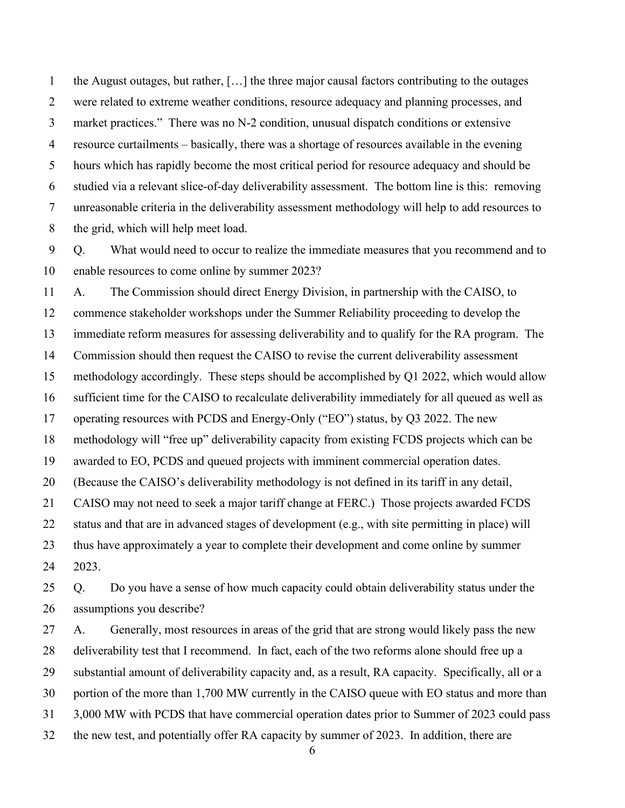the August outages, but rather, […] the three major causal factors contributing to the outages were related to extreme weather conditions, resource adequacy and planning processes, and market practices." There was no N-2 condition, unusual dispatch conditions or extensive resource curtailments – basically, there was a shortage of resources available in the evening hours which has rapidly become the most critical period for resource adequacy and should be studied via a relevant slice-of-day deliverability assessment. The bottom line is this: removing unreasonable criteria in the deliverability assessment methodology will help to add resources to the grid, which will help meet load.

 Q. What would need to occur to realize the immediate measures that you recommend and to enable resources to come online by summer 2023?

 A. The Commission should direct Energy Division, in partnership with the CAISO, to commence stakeholder workshops under the Summer Reliability proceeding to develop the immediate reform measures for assessing deliverability and to qualify for the RA program. The Commission should then request the CAISO to revise the current deliverability assessment methodology accordingly. These steps should be accomplished by Q1 2022, which would allow sufficient time for the CAISO to recalculate deliverability immediately for all queued as well as operating resources with PCDS and Energy-Only ("EO") status, by Q3 2022. The new methodology will "free up" deliverability capacity from existing FCDS projects which can be awarded to EO, PCDS and queued projects with imminent commercial operation dates. (Because the CAISO's deliverability methodology is not defined in its tariff in any detail, CAISO may not need to seek a major tariff change at FERC.) Those projects awarded FCDS status and that are in advanced stages of development (e.g., with site permitting in place) will thus have approximately a year to complete their development and come online by summer 2023. Q. Do you have a sense of how much capacity could obtain deliverability status under the assumptions you describe?

 A. Generally, most resources in areas of the grid that are strong would likely pass the new deliverability test that I recommend. In fact, each of the two reforms alone should free up a substantial amount of deliverability capacity and, as a result, RA capacity. Specifically, all or a portion of the more than 1,700 MW currently in the CAISO queue with EO status and more than 3,000 MW with PCDS that have commercial operation dates prior to Summer of 2023 could pass the new test, and potentially offer RA capacity by summer of 2023. In addition, there are